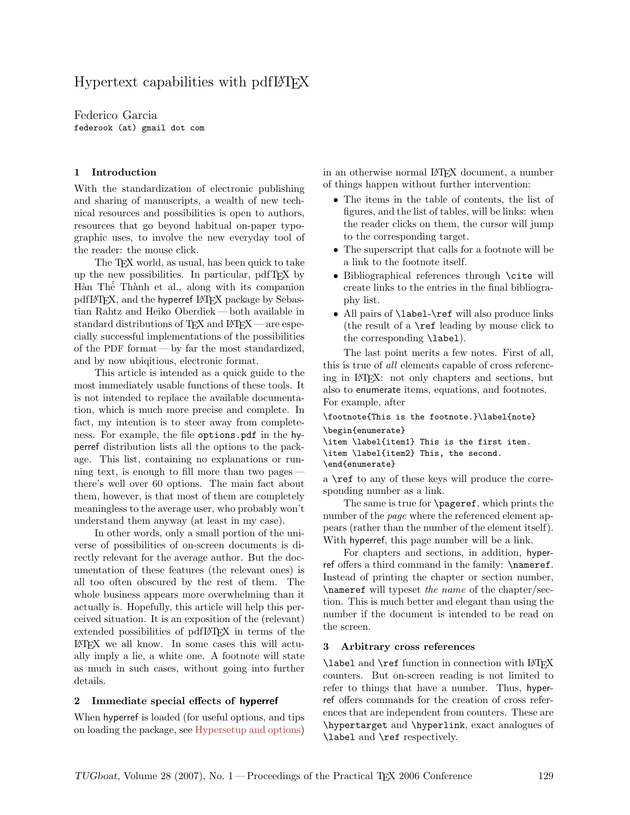# Hypertext capabilities with pdfLAT<sub>EX</sub>

Federico Garcia federook (at) gmail dot com

## 1 Introduction

With the standardization of electronic publishing and sharing of manuscripts, a wealth of new technical resources and possibilities is open to authors, resources that go beyond habitual on-paper typographic uses, to involve the new everyday tool of the reader: the mouse click.

The T<sub>EX</sub> world, as usual, has been quick to take up the new possibilities. In particular, pdfTEX by Hàn Thế Thành et al., along with its companion pdfIATEX, and the hyperref IATEX package by Sebastian Rahtz and Heiko Oberdiek— both available in standard distributions of  $TEX$  and  $BTEX$  — are especially successful implementations of the possibilities of the PDF format — by far the most standardized, and by now ubiqitious, electronic format.

This article is intended as a quick guide to the most immediately usable functions of these tools. It is not intended to replace the available documentation, which is much more precise and complete. In fact, my intention is to steer away from completeness. For example, the file options.pdf in the hyperref distribution lists all the options to the package. This list, containing no explanations or running text, is enough to fill more than two pages there's well over 60 options. The main fact about them, however, is that most of them are completely meaningless to the average user, who probably won't understand them anyway (at least in my case).

In other words, only a small portion of the universe of possibilities of on-screen documents is directly relevant for the average author. But the documentation of these features (the relevant ones) is all too often obscured by the rest of them. The whole business appears more overwhelming than it actually is. Hopefully, this article will help this perceived situation. It is an exposition of the (relevant) extended possibilities of pdfLAT<sub>EX</sub> in terms of the LATEX we all know. In some cases this will actually imply a lie, a white one. A footnote will state as much in such cases, without going into further details.

#### 2 Immediate special effects of hyperref

When hyperref is loaded (for useful options, and tips on loading the package, see [Hypersetup and options\)](#page-2-0) in an otherwise normal LATEX document, a number of things happen without further intervention:

- The items in the table of contents, the list of figures, and the list of tables, will be links: when the reader clicks on them, the cursor will jump to the corresponding target.
- The superscript that calls for a footnote will be a link to the footnote itself.
- Bibliographical references through \cite will create links to the entries in the final bibliography list.
- All pairs of **\label-\ref** will also produce links (the result of a  $\ref$  leading by mouse click to the corresponding \label).

The last point merits a few notes. First of all, this is true of all elements capable of cross referencing in LATEX: not only chapters and sections, but also to enumerate items, equations, and footnotes. For example, after

\footnote{This is the footnote.}\label{note} \begin{enumerate} \item \label{item1} This is the first item. \item \label{item2} This, the second.

```
\end{enumerate}
```
a \ref to any of these keys will produce the corresponding number as a link.

The same is true for \pageref, which prints the number of the *page* where the referenced element appears (rather than the number of the element itself). With hyperref, this page number will be a link.

For chapters and sections, in addition, hyperref offers a third command in the family: \nameref. Instead of printing the chapter or section number, \nameref will typeset the name of the chapter/section. This is much better and elegant than using the number if the document is intended to be read on the screen.

#### 3 Arbitrary cross references

\label and \ref function in connection with LATEX counters. But on-screen reading is not limited to refer to things that have a number. Thus, hyperref offers commands for the creation of cross references that are independent from counters. These are \hypertarget and \hyperlink, exact analogues of \label and \ref respectively.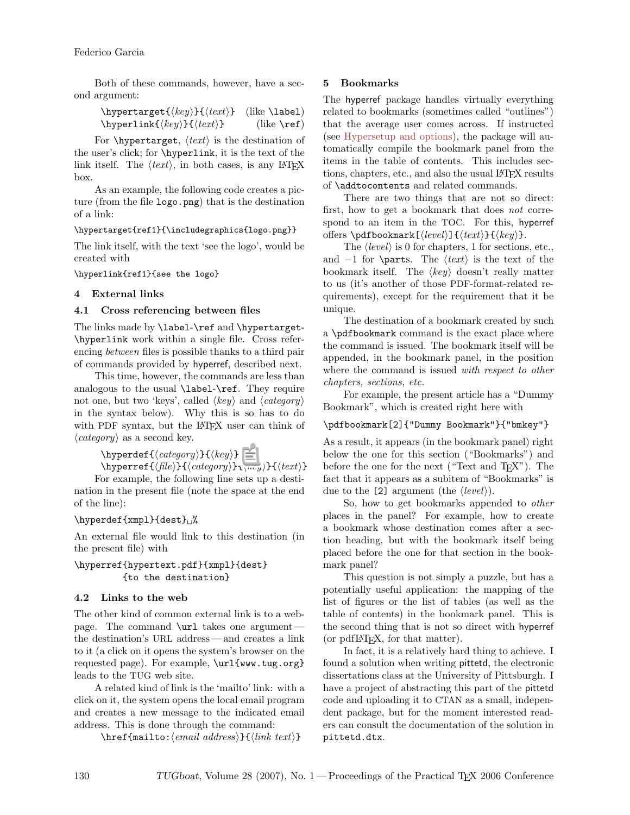Both of these commands, however, have a second argument:

| $\hbox{\texttt{key}}{ \texttt{\texttt{key}} \}$               | $(like \lambda)$      |
|---------------------------------------------------------------|-----------------------|
| \hyperlink{ $\langle key \rangle$ }{ $\langle text \rangle$ } | $(like \n\text{ref})$ |

For  $\hbox{\tt \hbox{hypertarget}, } \langle text \rangle$  is the destination of the user's click; for \hyperlink, it is the text of the link itself. The  $\langle text \rangle$ , in both cases, is any LATEX box.

As an example, the following code creates a picture (from the file logo.png) that is the destination of a link:

## \hypertarget{ref1}{\includegraphics{logo.png}}

The link itself, with the text 'see the logo', would be created with

\hyperlink{ref1}{see the logo}

## 4 External links

## <span id="page-1-0"></span>4.1 Cross referencing between files

The links made by **\label-\ref** and **\hypertarget-**\hyperlink work within a single file. Cross referencing between files is possible thanks to a third pair of commands provided by hyperref, described next.

This time, however, the commands are less than analogous to the usual \label-\ref. They require not one, but two 'keys', called  $\langle key \rangle$  and  $\langle category \rangle$ in the syntax below). Why this is so has to do with PDF syntax, but the LAT<sub>EX</sub> user can think of  $\langle category \rangle$  as a second key.

> \hyperdef{ $\langle category \rangle$ }{ $\langle key \rangle$ } \hyperref{ $\langle file \rangle$ }{ $\langle category \rangle$ }{ $\langle text \rangle$ }

For example, the following line sets up a destination in the present file (note the space at the end of the line):

# $\hbox{\texttt{xmpl}}{dest}_\blacksquare$

An external file would link to this destination (in the present file) with

## \hyperref{hypertext.pdf}{xmpl}{dest} {to the destination}

# 4.2 Links to the web

The other kind of common external link is to a webpage. The command \url takes one argument the destination's URL address — and creates a link to it (a click on it opens the system's browser on the requested page). For example, \url{www.tug.org} leads to the TUG web site.

A related kind of link is the 'mailto' link: with a click on it, the system opens the local email program and creates a new message to the indicated email address. This is done through the command:

 $\{\text{mailto:}\{$ ailto: $\{$ anil address $\}$ { $\{$ link text $\rangle$ }

# 5 Bookmarks

The hyperref package handles virtually everything related to bookmarks (sometimes called "outlines") that the average user comes across. If instructed (see [Hypersetup and options\)](#page-2-0), the package will automatically compile the bookmark panel from the items in the table of contents. This includes sections, chapters, etc., and also the usual LATEX results of \addtocontents and related commands.

There are two things that are not so direct: first, how to get a bookmark that does not correspond to an item in the TOC. For this, hyperref offers  $\boldsymbol{\Phi}[\langle level \rangle]{\langle \langle text \rangle}{\langle \langle key \rangle}.$ 

The  $\langle level \rangle$  is 0 for chapters, 1 for sections, etc., and  $-1$  for \parts. The  $\langle text \rangle$  is the text of the bookmark itself. The  $\langle key \rangle$  doesn't really matter to us (it's another of those PDF-format-related requirements), except for the requirement that it be unique.

The destination of a bookmark created by such a \pdfbookmark command is the exact place where the command is issued. The bookmark itself will be appended, in the bookmark panel, in the position where the command is issued *with respect to other* chapters, sections, etc.

For example, the present article has a "Dummy Bookmark", which is created right here with

# \pdfbookmark[2]{"Dummy Bookmark"}{"bmkey"}

As a result, it appears (in the bookmark panel) right below the one for this section ("Bookmarks") and before the one for the next ("Text and T<sub>E</sub>X"). The fact that it appears as a subitem of "Bookmarks" is due to the [2] argument (the  $\langle level \rangle$ ).

So, how to get bookmarks appended to other places in the panel? For example, how to create a bookmark whose destination comes after a section heading, but with the bookmark itself being placed before the one for that section in the bookmark panel?

This question is not simply a puzzle, but has a potentially useful application: the mapping of the list of figures or the list of tables (as well as the table of contents) in the bookmark panel. This is the second thing that is not so direct with hyperref (or pdfIAT<sub>EX</sub>, for that matter).

In fact, it is a relatively hard thing to achieve. I found a solution when writing pittetd, the electronic dissertations class at the University of Pittsburgh. I have a project of abstracting this part of the pittetd code and uploading it to CTAN as a small, independent package, but for the moment interested readers can consult the documentation of the solution in pittetd.dtx.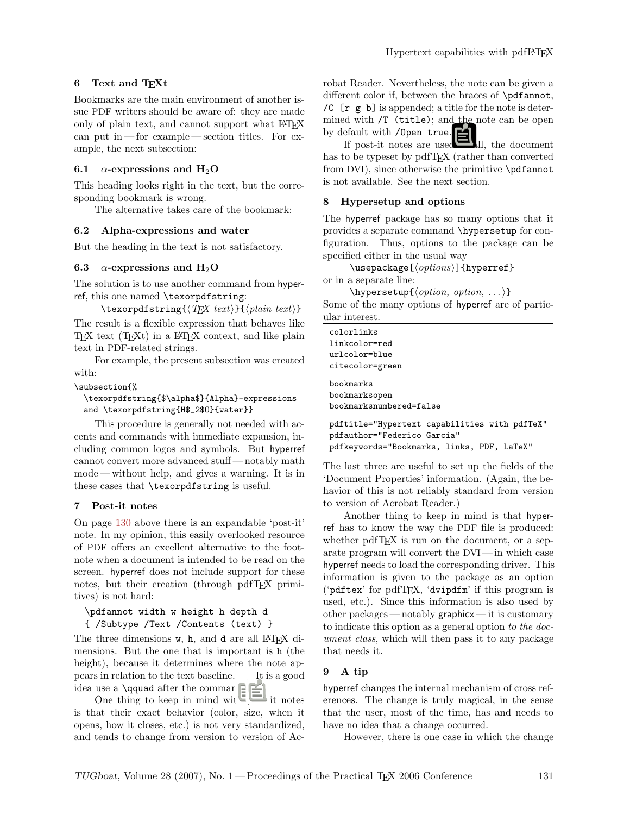## 6 Text and TEXt

Bookmarks are the main environment of another issue PDF writers should be aware of: they are made only of plain text, and cannot support what LATEX can put in — for example — section titles. For example, the next subsection:

## 6.1  $\alpha$ -expressions and H<sub>2</sub>O

This heading looks right in the text, but the corresponding bookmark is wrong.

The alternative takes care of the bookmark:

#### 6.2 Alpha-expressions and water

But the heading in the text is not satisfactory.

#### 6.3  $\alpha$ -expressions and H<sub>2</sub>O

The solution is to use another command from hyperref, this one named \texorpdfstring:

```
\text{texph{arg}\{\langle TEX \ textrangle\}\{\langle plain \ text \rangle\}
```
The result is a flexible expression that behaves like TEX text (TEXt) in a LATEX context, and like plain text in PDF-related strings.

For example, the present subsection was created with:

#### \subsection{%

```
\texorpdfstring{$\alpha$}{Alpha}-expressions
and \texorpdfstring{H$_2$O}{water}}
```
This procedure is generally not needed with accents and commands with immediate expansion, including common logos and symbols. But hyperref cannot convert more advanced stuff— notably math mode— without help, and gives a warning. It is in these cases that \texorpdfstring is useful.

#### 7 Post-it notes

On page [130](#page-1-0) above there is an expandable 'post-it' note. In my opinion, this easily overlooked resource of PDF offers an excellent alternative to the footnote when a document is intended to be read on the screen. hyperref does not include support for these notes, but their creation (through pdfTFX primitives) is not hard:

\pdfannot width w height h depth d { /Subtype /Text /Contents (text) }

The three dimensions w, h, and d are all L<sup>AT</sup>EX dimensions. But the one that is important is h (the height), because it determines where the note appears in relation to the text baseline. It is a good idea use a \qquad after the command.

One thing to keep in mind with post-it notes is that their exact behavior (color, size, when it opens, how it closes, etc.) is not very standardized, and tends to change from version to version of Acrobat Reader. Nevertheless, the note can be given a different color if, between the braces of \pdfannot, /C  $[r \ g \ b]$  is appended; a title for the note is determined with /T (title); and the note can be open by default with /Open true.

If post-it notes are used at all, the document has to be typeset by pdfT<sub>E</sub>X (rather than converted from DVI), since otherwise the primitive \pdfannot is not available. See the next section.

#### <span id="page-2-0"></span>8 Hypersetup and options

The hyperref package has so many options that it provides a separate command \hypersetup for configuration. Thus, options to the package can be specified either in the usual way

 $\text{lagger}$ 

or in a separate line:

 $\hbox{hypersetup}$ { $\langle option, option, ... \rangle$ }

Some of the many options of hyperref are of particular interest.

| colorlinks                                    |
|-----------------------------------------------|
| linkcolor=red                                 |
| urlcolor=blue                                 |
| citecolor=green                               |
| bookmarks                                     |
| bookmarksopen                                 |
| bookmarksnumbered=false                       |
| pdftitle="Hypertext capabilities with pdfTeX" |

pdfauthor="Federico Garcia" pdfkeywords="Bookmarks, links, PDF, LaTeX"

The last three are useful to set up the fields of the 'Document Properties' information. (Again, the behavior of this is not reliably standard from version to version of Acrobat Reader.)

Another thing to keep in mind is that hyperref has to know the way the PDF file is produced: whether pdfT<sub>F</sub>X is run on the document, or a separate program will convert the DVI — in which case hyperref needs to load the corresponding driver. This information is given to the package as an option ('pdftex' for pdfTEX, 'dvipdfm' if this program is used, etc.). Since this information is also used by other packages — notably graphicx — it is customary to indicate this option as a general option to the document class, which will then pass it to any package that needs it.

# 9 A tip

hyperref changes the internal mechanism of cross references. The change is truly magical, in the sense that the user, most of the time, has and needs to have no idea that a change occurred.

However, there is one case in which the change